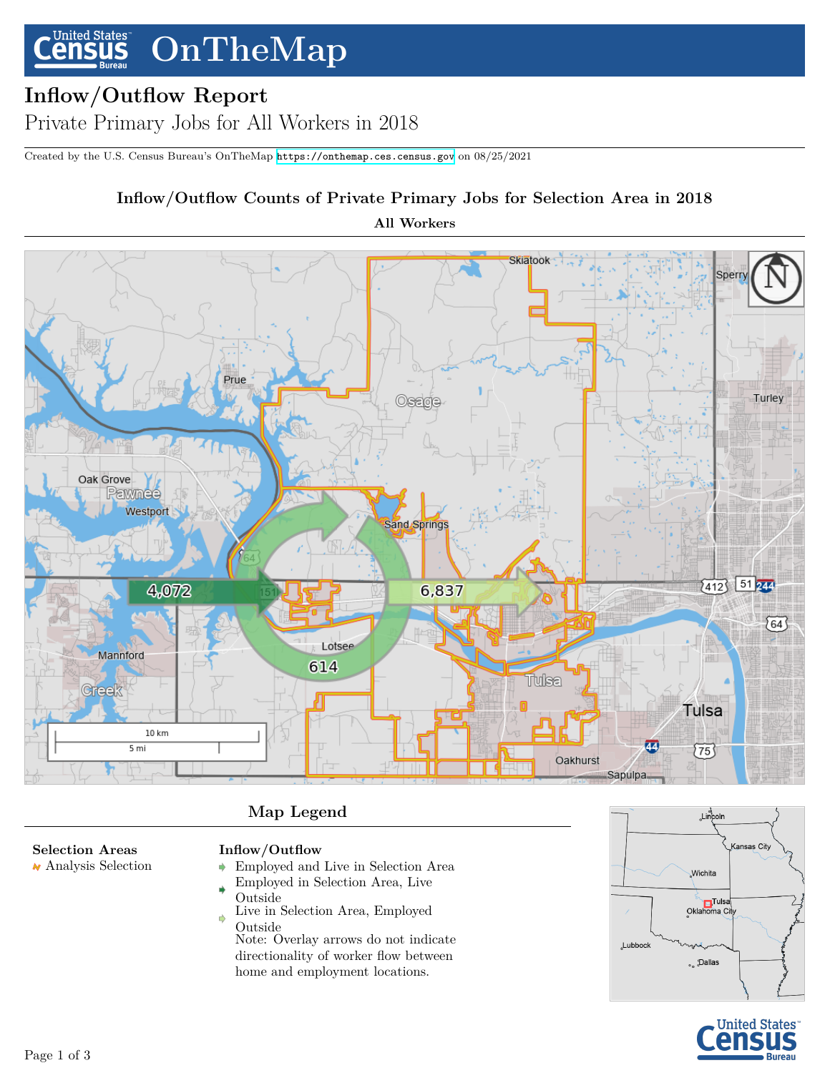#### **United States OnTheMap** ensus

# **Inflow/Outflow Report**

Private Primary Jobs for All Workers in 2018

Created by the U.S. Census Bureau's OnTheMap <https://onthemap.ces.census.gov> on 08/25/2021

# **Inflow/Outflow Counts of Private Primary Jobs for Selection Area in 2018**

**All Workers**



## **Map Legend**

## **Selection Areas**

Analysis Selection

## **Inflow/Outflow**

- Employed and Live in Selection Area  $\ddot{\phantom{1}}$
- Employed in Selection Area, Live Outside
- Live in Selection Area, Employed  $\Rightarrow$ Outside

Note: Overlay arrows do not indicate directionality of worker flow between home and employment locations.



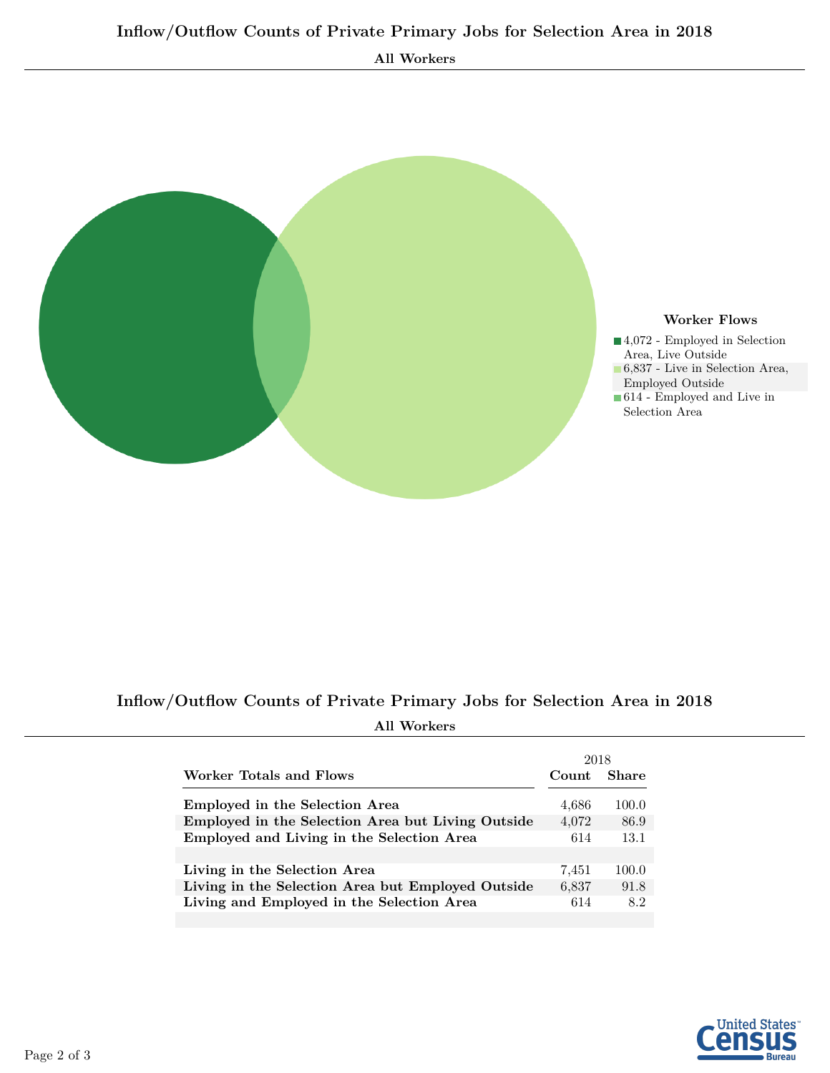



# **Inflow/Outflow Counts of Private Primary Jobs for Selection Area in 2018 All Workers**

| Worker Totals and Flows<br>Employed in the Selection Area<br>Employed in the Selection Area but Living Outside<br>Employed and Living in the Selection Area<br>Living in the Selection Area<br>Living in the Selection Area but Employed Outside<br>Living and Employed in the Selection Area | 2018  |              |
|-----------------------------------------------------------------------------------------------------------------------------------------------------------------------------------------------------------------------------------------------------------------------------------------------|-------|--------------|
|                                                                                                                                                                                                                                                                                               | Count | <b>Share</b> |
|                                                                                                                                                                                                                                                                                               | 4,686 | 100.0        |
|                                                                                                                                                                                                                                                                                               | 4,072 | 86.9         |
|                                                                                                                                                                                                                                                                                               | 614   | 13.1         |
|                                                                                                                                                                                                                                                                                               |       |              |
|                                                                                                                                                                                                                                                                                               | 7.451 | 100.0        |
|                                                                                                                                                                                                                                                                                               | 6,837 | 91.8         |
|                                                                                                                                                                                                                                                                                               | 614   | 8.2          |